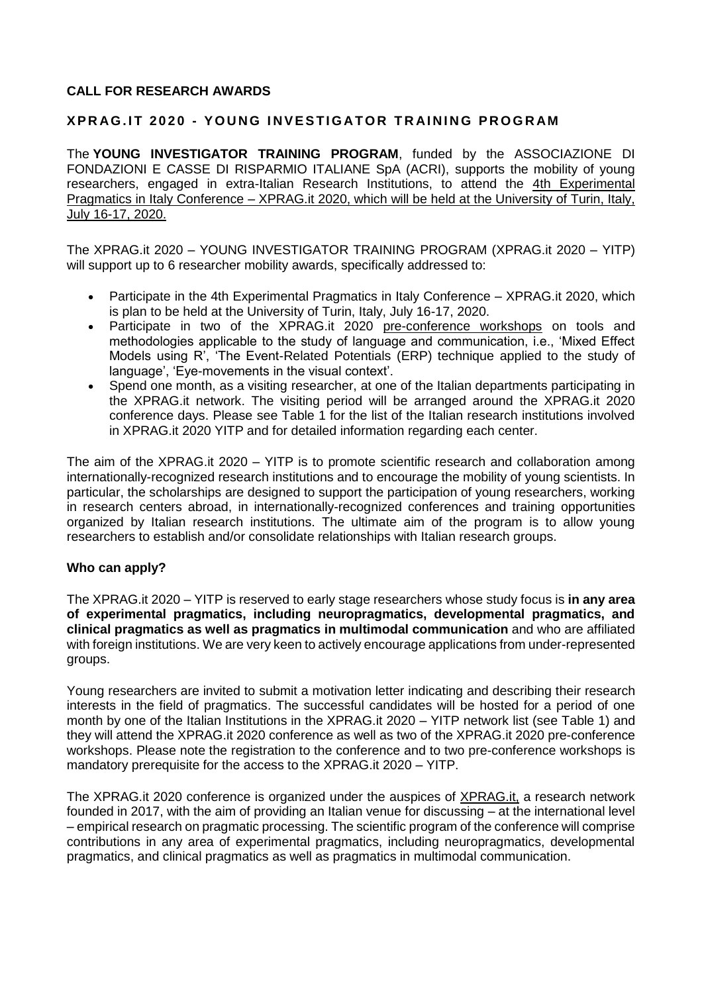### **CALL FOR RESEARCH AWARDS**

#### **X P R AG . I T 2 0 2 0 - Y O U N G I N V E S TI G AT O R T R AI N I N G P R O G R AM**

The **YOUNG INVESTIGATOR TRAINING PROGRAM**, funded by the ASSOCIAZIONE DI FONDAZIONI E CASSE DI RISPARMIO ITALIANE SpA (ACRI), supports the mobility of young researchers, engaged in extra-Italian Research Institutions, to attend the 4th Experimental Pragmatics in Italy Conference – [XPRAG.it 2020,](https://www.intobrain.it/en/xpragit2020/) which will be held at the University of Turin, Italy, July 16-17, 2020.

The XPRAG.it 2020 – YOUNG INVESTIGATOR TRAINING PROGRAM (XPRAG.it 2020 – YITP) will support up to 6 researcher mobility awards, specifically addressed to:

- Participate in the 4th Experimental Pragmatics in Italy Conference [XPRAG.it 2020,](https://www.intobrain.it/en/xpragit2020/) which is plan to be held at the University of Turin, Italy, July 16-17, 2020.
- Participate in two of the XPRAG.it 2020 [pre-conference workshops](https://www.intobrain.it/it/xpragit2020-it/pre-conference-workshops/) on tools and methodologies applicable to the study of language and communication, i.e., 'Mixed Effect Models using R', 'The Event-Related Potentials (ERP) technique applied to the study of language', 'Eye-movements in the visual context'.
- Spend one month, as a visiting researcher, at one of the Italian departments participating in the XPRAG.it network. The visiting period will be arranged around the XPRAG.it 2020 conference days. Please see Table 1 for the list of the Italian research institutions involved in XPRAG.it 2020 YITP and for detailed information regarding each center.

The aim of the XPRAG.it 2020 – YITP is to promote scientific research and collaboration among internationally-recognized research institutions and to encourage the mobility of young scientists. In particular, the scholarships are designed to support the participation of young researchers, working in research centers abroad, in internationally-recognized conferences and training opportunities organized by Italian research institutions. The ultimate aim of the program is to allow young researchers to establish and/or consolidate relationships with Italian research groups.

#### **Who can apply?**

The XPRAG.it 2020 – YITP is reserved to early stage researchers whose study focus is **in any area of experimental pragmatics, including neuropragmatics, developmental pragmatics, and clinical pragmatics as well as pragmatics in multimodal communication** and who are affiliated with foreign institutions. We are very keen to actively encourage applications from under-represented groups.

Young researchers are invited to submit a motivation letter indicating and describing their research interests in the field of pragmatics. The successful candidates will be hosted for a period of one month by one of the Italian Institutions in the XPRAG.it 2020 – YITP network list (see Table 1) and they will attend the XPRAG.it 2020 conference as well as two of the XPRAG.it 2020 pre-conference workshops. Please note the registration to the conference and to two pre-conference workshops is mandatory prerequisite for the access to the XPRAG.it 2020 – YITP.

The XPRAG.it 2020 conference is organized under the auspices of [XPRAG.it,](https://www.xpragit.com/) a research network founded in 2017, with the aim of providing an Italian venue for discussing – at the international level – empirical research on pragmatic processing. The scientific program of the conference will comprise contributions in any area of experimental pragmatics, including neuropragmatics, developmental pragmatics, and clinical pragmatics as well as pragmatics in multimodal communication.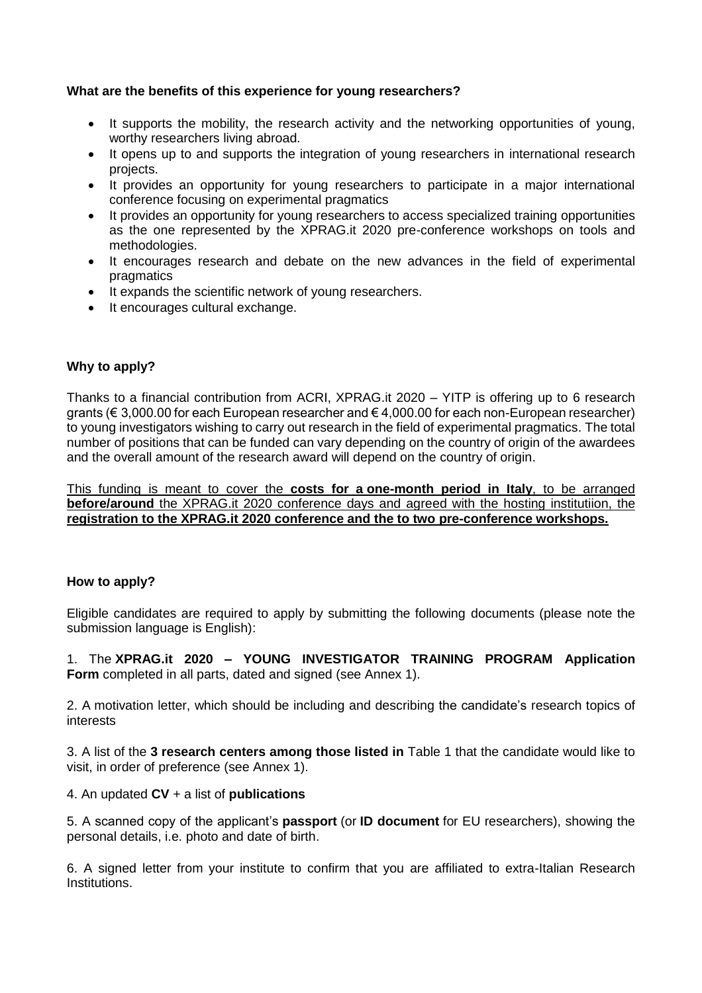### **What are the benefits of this experience for young researchers?**

- It supports the mobility, the research activity and the networking opportunities of young, worthy researchers living abroad.
- It opens up to and supports the integration of young researchers in international research projects.
- It provides an opportunity for young researchers to participate in a major international conference focusing on experimental pragmatics
- It provides an opportunity for young researchers to access specialized training opportunities as the one represented by the XPRAG.it 2020 pre-conference workshops on tools and methodologies.
- It encourages research and debate on the new advances in the field of experimental pragmatics
- It expands the scientific network of young researchers.
- It encourages cultural exchange.

## **Why to apply?**

Thanks to a financial contribution from ACRI, XPRAG.it 2020 – YITP is offering up to 6 research grants (€ 3,000.00 for each European researcher and € 4,000.00 for each non-European researcher) to young investigators wishing to carry out research in the field of experimental pragmatics. The total number of positions that can be funded can vary depending on the country of origin of the awardees and the overall amount of the research award will depend on the country of origin.

This funding is meant to cover the **costs for a one-month period in Italy**, to be arranged **before/around** the XPRAG.it 2020 conference days and agreed with the hosting institutiion, the **registration to the XPRAG.it 2020 conference and the to two pre-conference workshops.** 

### **How to apply?**

Eligible candidates are required to apply by submitting the following documents (please note the submission language is English):

1. The **XPRAG.it 2020 – YOUNG INVESTIGATOR TRAINING PROGRAM Application Form** completed in all parts, dated and signed (see Annex 1).

2. A motivation letter, which should be including and describing the candidate's research topics of interests

3. A list of the **3 research centers among those listed in** Table 1 that the candidate would like to visit, in order of preference (see Annex 1).

### 4. An updated **CV** + a list of **publications**

5. A scanned copy of the applicant's **passport** (or **ID document** for EU researchers), showing the personal details, i.e. photo and date of birth.

6. A signed letter from your institute to confirm that you are affiliated to extra-Italian Research Institutions.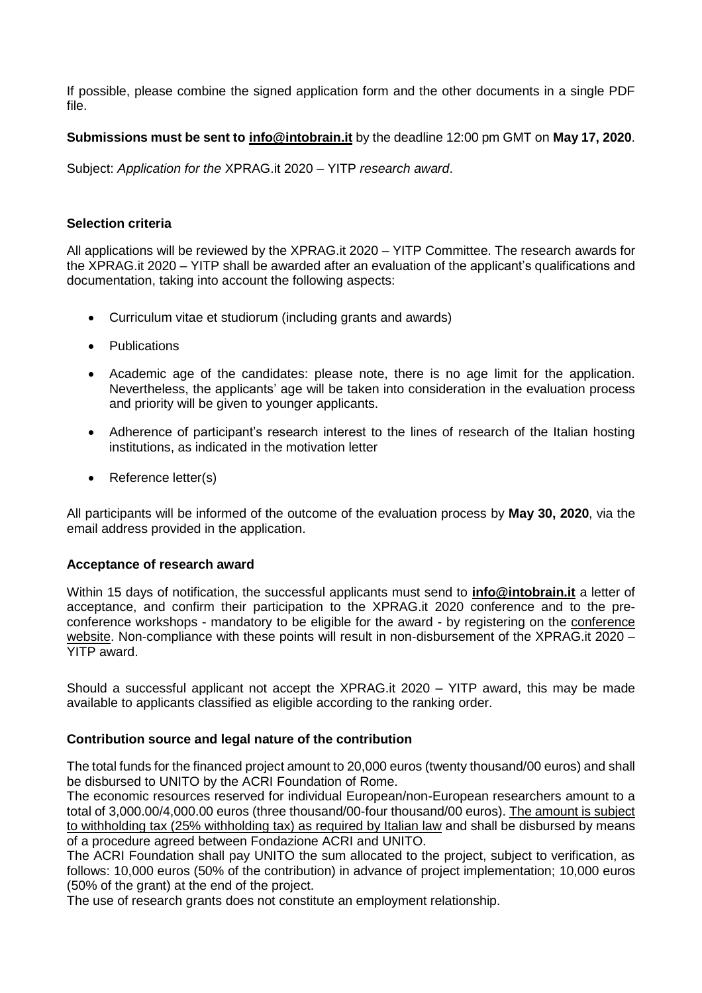If possible, please combine the signed application form and the other documents in a single PDF file.

### **Submissions must be sent to [info@intobrain.it](mailto:info@intobrain.it)** by the deadline 12:00 pm GMT on **May 17, 2020**.

Subject: *Application for the* XPRAG.it 2020 – YITP *research award*.

#### **Selection criteria**

All applications will be reviewed by the XPRAG.it 2020 – YITP Committee. The research awards for the XPRAG.it 2020 – YITP shall be awarded after an evaluation of the applicant's qualifications and documentation, taking into account the following aspects:

- Curriculum vitae et studiorum (including grants and awards)
- Publications
- Academic age of the candidates: please note, there is no age limit for the application. Nevertheless, the applicants' age will be taken into consideration in the evaluation process and priority will be given to younger applicants.
- Adherence of participant's research interest to the lines of research of the Italian hosting institutions, as indicated in the motivation letter
- Reference letter(s)

All participants will be informed of the outcome of the evaluation process by **May 30, 2020**, via the email address provided in the application.

### **Acceptance of research award**

Within 15 days of notification, the successful applicants must send to **[info@intobrain.it](mailto:info@intobrain.it)** a letter of acceptance, and confirm their participation to the XPRAG.it 2020 conference and to the preconference workshops - mandatory to be eligible for the award - by registering on the [conference](https://www.intobrain.it/en/xpragit2020/)  [website.](https://www.intobrain.it/en/xpragit2020/) Non-compliance with these points will result in non-disbursement of the XPRAG.it 2020 – YITP award.

Should a successful applicant not accept the XPRAG.it 2020 – YITP award, this may be made available to applicants classified as eligible according to the ranking order.

### **Contribution source and legal nature of the contribution**

The total funds for the financed project amount to 20,000 euros (twenty thousand/00 euros) and shall be disbursed to UNITO by the ACRI Foundation of Rome.

The economic resources reserved for individual European/non-European researchers amount to a total of 3,000.00/4,000.00 euros (three thousand/00-four thousand/00 euros). The amount is subject to withholding tax (25% withholding tax) as required by Italian law and shall be disbursed by means of a procedure agreed between Fondazione ACRI and UNITO.

The ACRI Foundation shall pay UNITO the sum allocated to the project, subject to verification, as follows: 10,000 euros (50% of the contribution) in advance of project implementation; 10,000 euros (50% of the grant) at the end of the project.

The use of research grants does not constitute an employment relationship.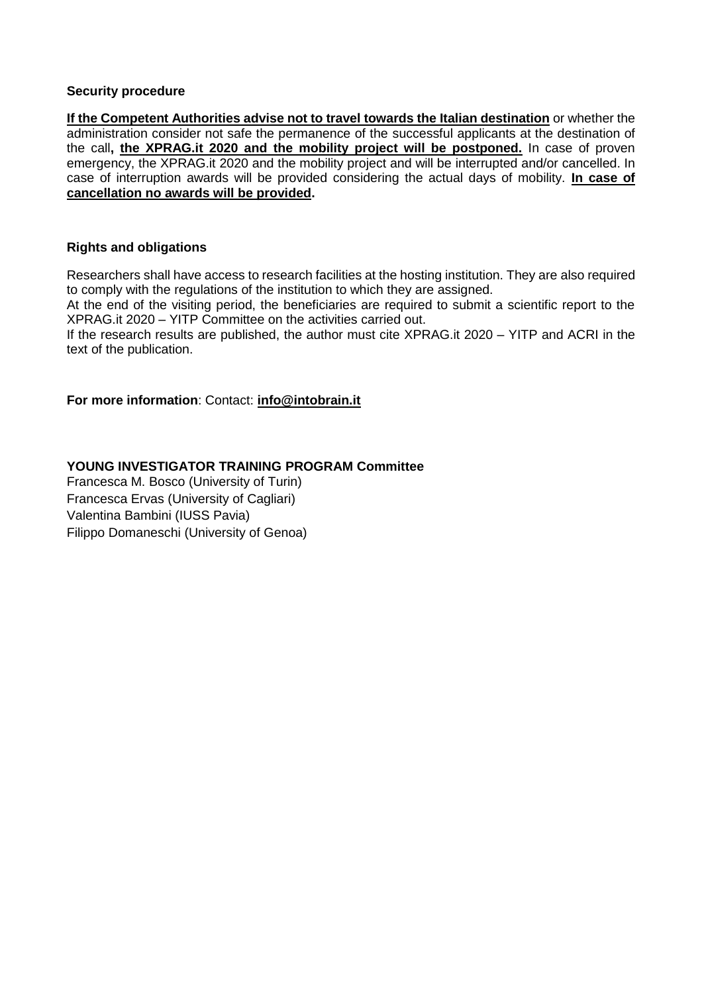#### **Security procedure**

**If the Competent Authorities advise not to travel towards the Italian destination** or whether the administration consider not safe the permanence of the successful applicants at the destination of the call**, the XPRAG.it 2020 and the mobility project will be postponed.** In case of proven emergency, the XPRAG.it 2020 and the mobility project and will be interrupted and/or cancelled. In case of interruption awards will be provided considering the actual days of mobility. **In case of cancellation no awards will be provided.** 

#### **Rights and obligations**

Researchers shall have access to research facilities at the hosting institution. They are also required to comply with the regulations of the institution to which they are assigned.

At the end of the visiting period, the beneficiaries are required to submit a scientific report to the XPRAG.it 2020 – YITP Committee on the activities carried out.

If the research results are published, the author must cite XPRAG.it 2020 – YITP and ACRI in the text of the publication.

**For more information**: Contact: **[info@intobrain.it](mailto:info@intobrain.it)**

**YOUNG INVESTIGATOR TRAINING PROGRAM Committee**

Francesca M. Bosco (University of Turin) Francesca Ervas (University of Cagliari) Valentina Bambini (IUSS Pavia) Filippo Domaneschi (University of Genoa)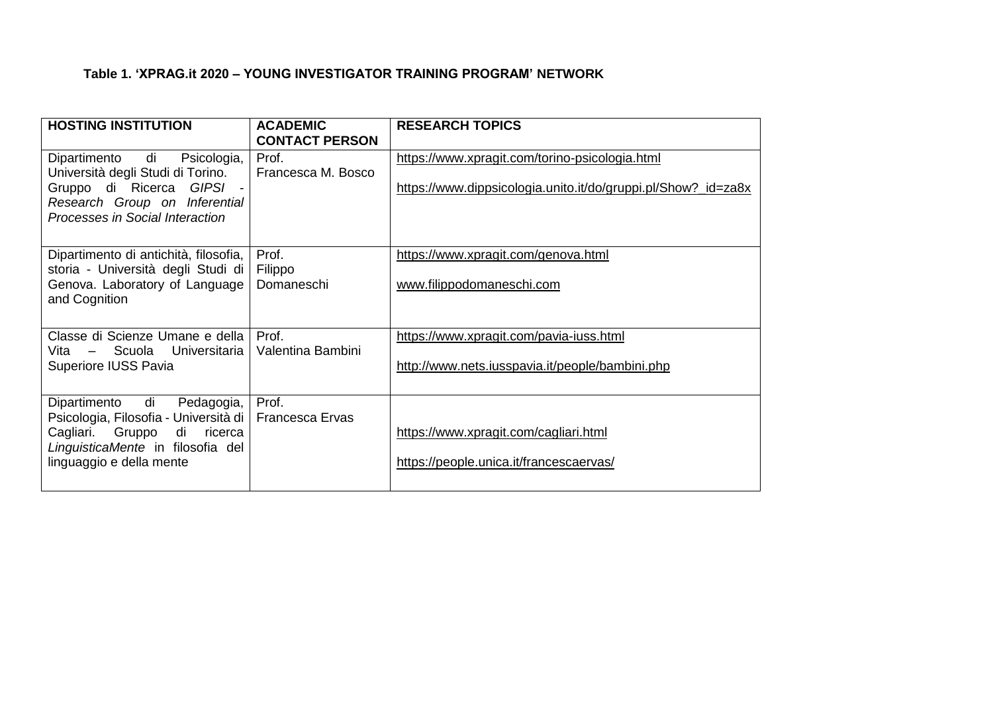## **Table 1. 'XPRAG.it 2020 – YOUNG INVESTIGATOR TRAINING PROGRAM' NETWORK**

| <b>HOSTING INSTITUTION</b>                                                                                                                                                               | <b>ACADEMIC</b><br><b>CONTACT PERSON</b> | <b>RESEARCH TOPICS</b>                                                                                          |
|------------------------------------------------------------------------------------------------------------------------------------------------------------------------------------------|------------------------------------------|-----------------------------------------------------------------------------------------------------------------|
| Dipartimento di Psicologia,<br>Università degli Studi di Torino.<br>Gruppo di Ricerca GIPSI -<br>Research Group on Inferential<br>Processes in Social Interaction                        | Prof.<br>Francesca M. Bosco              | https://www.xpragit.com/torino-psicologia.html<br>https://www.dippsicologia.unito.it/do/gruppi.pl/Show?_id=za8x |
| Dipartimento di antichità, filosofia,<br>storia - Università degli Studi di<br>Genova. Laboratory of Language<br>and Cognition                                                           | Prof.<br>Filippo<br>Domaneschi           | https://www.xpragit.com/genova.html<br>www.filippodomaneschi.com                                                |
| Classe di Scienze Umane e della  <br>Scuola Universitaria  <br>Vita –<br>Superiore IUSS Pavia                                                                                            | Prof.<br>Valentina Bambini               | https://www.xpragit.com/pavia-iuss.html<br>http://www.nets.iusspavia.it/people/bambini.php                      |
| di Pedagogia,<br>Dipartimento<br>Psicologia, Filosofia - Università di   Francesca Ervas<br>Cagliari. Gruppo di ricerca<br>LinguisticaMente in filosofia del<br>linguaggio e della mente | Prof.                                    | https://www.xpragit.com/cagliari.html<br>https://people.unica.it/francescaervas/                                |